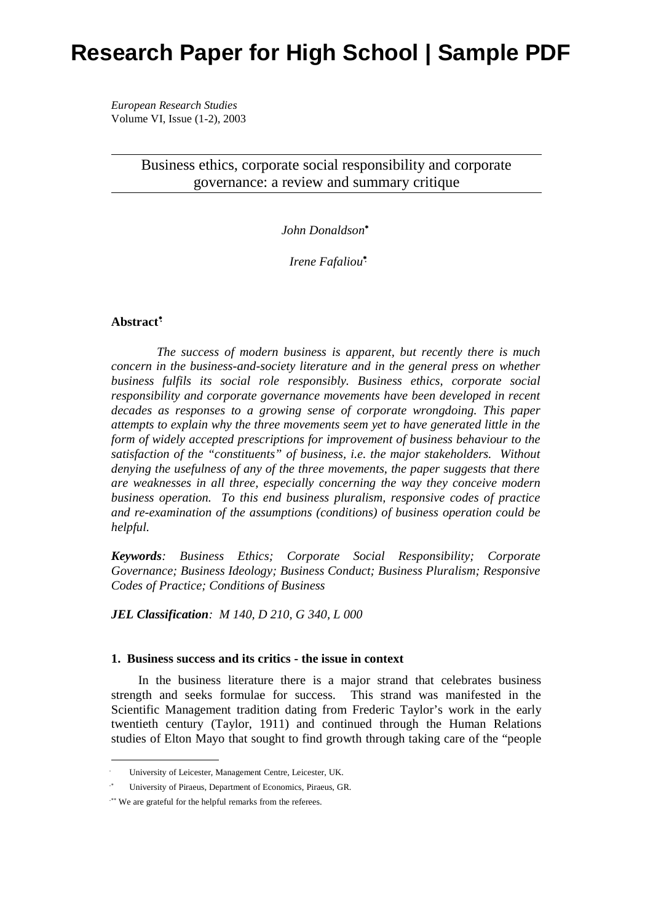# **Research Paper for High School | Sample PDF**

*European Research Studies* Volume VI, Issue (1-2), 2003

> Business ethics, corporate social responsibility and corporate governance: a review and summary critique

> > *John Donaldson*<sup>∗</sup>

 *Irene Fafaliou*<sup>∗</sup>

## **Abstract**<sup>∗</sup>

*The success of modern business is apparent, but recently there is much concern in the business-and-society literature and in the general press on whether business fulfils its social role responsibly. Business ethics, corporate social responsibility and corporate governance movements have been developed in recent decades as responses to a growing sense of corporate wrongdoing. This paper attempts to explain why the three movements seem yet to have generated little in the form of widely accepted prescriptions for improvement of business behaviour to the satisfaction of the "constituents" of business, i.e. the major stakeholders. Without denying the usefulness of any of the three movements, the paper suggests that there are weaknesses in all three, especially concerning the way they conceive modern business operation. To this end business pluralism, responsive codes of practice and re-examination of the assumptions (conditions) of business operation could be helpful.* 

*Keywords: Business Ethics; Corporate Social Responsibility; Corporate Governance; Business Ideology; Business Conduct; Business Pluralism; Responsive Codes of Practice; Conditions of Business*

*JEL Classification: M 140, D 210, G 340, L 000* 

## **1. Business success and its critics - the issue in context**

In the business literature there is a major strand that celebrates business strength and seeks formulae for success. This strand was manifested in the Scientific Management tradition dating from Frederic Taylor's work in the early twentieth century (Taylor, 1911) and continued through the Human Relations studies of Elton Mayo that sought to find growth through taking care of the "people

University of Leicester, Management Centre, Leicester, UK.

<sup>∗</sup> University of Piraeus, Department of Economics, Piraeus, GR.

<sup>∗∗</sup> We are grateful for the helpful remarks from the referees.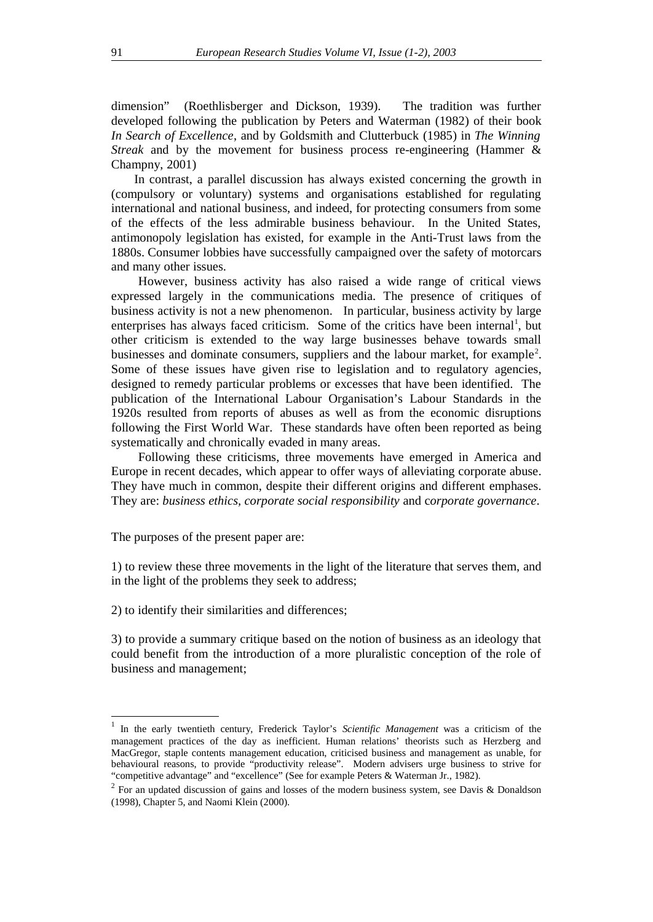dimension" (Roethlisberger and Dickson, 1939). The tradition was further developed following the publication by Peters and Waterman (1982) of their book *In Search of Excellence*, and by Goldsmith and Clutterbuck (1985) in *The Winning Streak* and by the movement for business process re-engineering (Hammer & Champny, 2001)

 In contrast, a parallel discussion has always existed concerning the growth in (compulsory or voluntary) systems and organisations established for regulating international and national business, and indeed, for protecting consumers from some of the effects of the less admirable business behaviour. In the United States, antimonopoly legislation has existed, for example in the Anti-Trust laws from the 1880s. Consumer lobbies have successfully campaigned over the safety of motorcars and many other issues.

However, business activity has also raised a wide range of critical views expressed largely in the communications media. The presence of critiques of business activity is not a new phenomenon. In particular, business activity by large enterprises has always faced criticism. Some of the critics have been internal<sup>1</sup>, but other criticism is extended to the way large businesses behave towards small businesses and dominate consumers, suppliers and the labour market, for example<sup>2</sup>. Some of these issues have given rise to legislation and to regulatory agencies, designed to remedy particular problems or excesses that have been identified. The publication of the International Labour Organisation's Labour Standards in the 1920s resulted from reports of abuses as well as from the economic disruptions following the First World War. These standards have often been reported as being systematically and chronically evaded in many areas.

Following these criticisms, three movements have emerged in America and Europe in recent decades, which appear to offer ways of alleviating corporate abuse. They have much in common, despite their different origins and different emphases. They are: *business ethics, corporate social responsibility* and c*orporate governance*.

The purposes of the present paper are:

1) to review these three movements in the light of the literature that serves them, and in the light of the problems they seek to address;

2) to identify their similarities and differences;

3) to provide a summary critique based on the notion of business as an ideology that could benefit from the introduction of a more pluralistic conception of the role of business and management;

<sup>&</sup>lt;sup>1</sup> In the early twentieth century, Frederick Taylor's *Scientific Management* was a criticism of the management practices of the day as inefficient. Human relations' theorists such as Herzberg and MacGregor, staple contents management education, criticised business and management as unable, for behavioural reasons, to provide "productivity release". Modern advisers urge business to strive for "competitive advantage" and "excellence" (See for example Peters & Waterman Jr., 1982).

<sup>&</sup>lt;sup>2</sup> For an updated discussion of gains and losses of the modern business system, see Davis & Donaldson (1998), Chapter 5, and Naomi Klein (2000).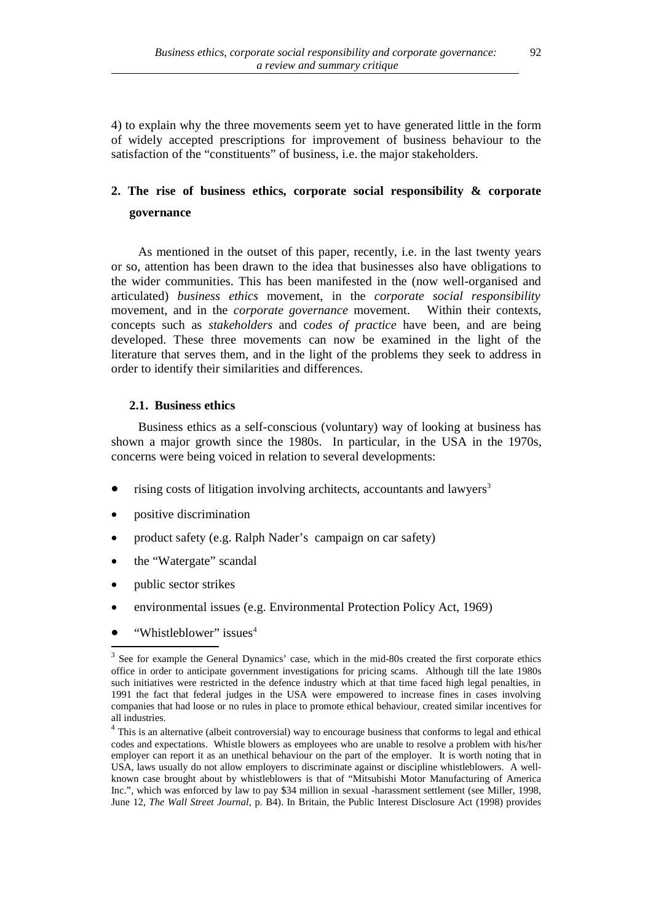4) to explain why the three movements seem yet to have generated little in the form of widely accepted prescriptions for improvement of business behaviour to the satisfaction of the "constituents" of business, i.e. the major stakeholders.

## **2. The rise of business ethics, corporate social responsibility & corporate governance**

As mentioned in the outset of this paper, recently, i.e. in the last twenty years or so, attention has been drawn to the idea that businesses also have obligations to the wider communities. This has been manifested in the (now well-organised and articulated) *business ethics* movement, in the *corporate social responsibility* movement, and in the *corporate governance* movement. Within their contexts, concepts such as *stakeholders* and c*odes of practice* have been, and are being developed. These three movements can now be examined in the light of the literature that serves them, and in the light of the problems they seek to address in order to identify their similarities and differences.

## **2.1. Business ethics**

Business ethics as a self-conscious (voluntary) way of looking at business has shown a major growth since the 1980s. In particular, in the USA in the 1970s, concerns were being voiced in relation to several developments:

- rising costs of litigation involving architects, accountants and lawyers<sup>3</sup>
- positive discrimination
- product safety (e.g. Ralph Nader's campaign on car safety)
- the "Watergate" scandal
- public sector strikes
- environmental issues (e.g. Environmental Protection Policy Act, 1969)
- "Whistleblower" issues<sup>4</sup>

<sup>&</sup>lt;sup>3</sup> See for example the General Dynamics' case, which in the mid-80s created the first corporate ethics office in order to anticipate government investigations for pricing scams. Although till the late 1980s such initiatives were restricted in the defence industry which at that time faced high legal penalties, in 1991 the fact that federal judges in the USA were empowered to increase fines in cases involving companies that had loose or no rules in place to promote ethical behaviour, created similar incentives for all industries.

<sup>&</sup>lt;sup>4</sup> This is an alternative (albeit controversial) way to encourage business that conforms to legal and ethical codes and expectations. Whistle blowers as employees who are unable to resolve a problem with his/her employer can report it as an unethical behaviour on the part of the employer. It is worth noting that in USA, laws usually do not allow employers to discriminate against or discipline whistleblowers. A wellknown case brought about by whistleblowers is that of "Mitsubishi Motor Manufacturing of America Inc.", which was enforced by law to pay \$34 million in sexual -harassment settlement (see Miller, 1998, June 12, *The Wall Street Journal*, p. B4). In Britain, the Public Interest Disclosure Act (1998) provides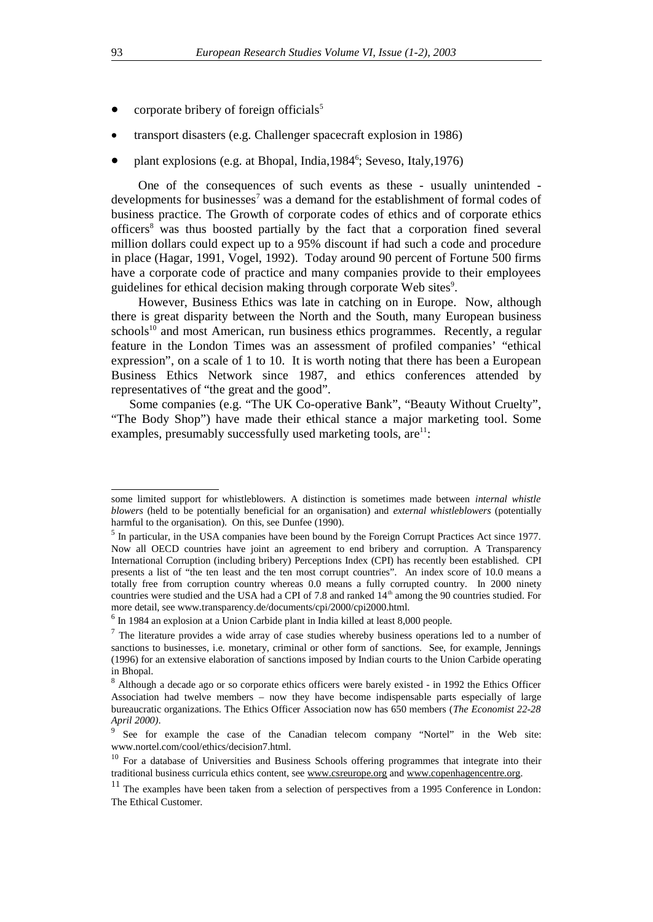- corporate bribery of foreign officials<sup>5</sup>
- transport disasters (e.g. Challenger spacecraft explosion in 1986)
- plant explosions (e.g. at Bhopal, India,  $1984^{\circ}$ ; Seveso, Italy,  $1976$ )

One of the consequences of such events as these - usually unintended developments for businesses<sup>7</sup> was a demand for the establishment of formal codes of business practice. The Growth of corporate codes of ethics and of corporate ethics officers<sup>8</sup> was thus boosted partially by the fact that a corporation fined several million dollars could expect up to a 95% discount if had such a code and procedure in place (Hagar, 1991, Vogel, 1992). Today around 90 percent of Fortune 500 firms have a corporate code of practice and many companies provide to their employees guidelines for ethical decision making through corporate Web sites<sup>9</sup>.

However, Business Ethics was late in catching on in Europe. Now, although there is great disparity between the North and the South, many European business schools<sup>10</sup> and most American, run business ethics programmes. Recently, a regular feature in the London Times was an assessment of profiled companies' "ethical expression", on a scale of 1 to 10. It is worth noting that there has been a European Business Ethics Network since 1987, and ethics conferences attended by representatives of "the great and the good".

Some companies (e.g. "The UK Co-operative Bank", "Beauty Without Cruelty", "The Body Shop") have made their ethical stance a major marketing tool. Some examples, presumably successfully used marketing tools,  $are^{11}$ :

some limited support for whistleblowers. A distinction is sometimes made between *internal whistle blowers* (held to be potentially beneficial for an organisation) and *external whistleblowers* (potentially harmful to the organisation). On this, see Dunfee (1990).

<sup>&</sup>lt;sup>5</sup> In particular, in the USA companies have been bound by the Foreign Corrupt Practices Act since 1977. Now all OECD countries have joint an agreement to end bribery and corruption. A Transparency International Corruption (including bribery) Perceptions Index (CPI) has recently been established. CPI presents a list of "the ten least and the ten most corrupt countries". An index score of 10.0 means a totally free from corruption country whereas 0.0 means a fully corrupted country. In 2000 ninety countries were studied and the USA had a CPI of 7.8 and ranked 14<sup>th</sup> among the 90 countries studied. For more detail, see www.transparency.de/documents/cpi/2000/cpi2000.html.

<sup>&</sup>lt;sup>6</sup> In 1984 an explosion at a Union Carbide plant in India killed at least 8,000 people.

 $<sup>7</sup>$  The literature provides a wide array of case studies whereby business operations led to a number of</sup> sanctions to businesses, i.e. monetary, criminal or other form of sanctions. See, for example, Jennings (1996) for an extensive elaboration of sanctions imposed by Indian courts to the Union Carbide operating in Bhopal.

 $8$  Although a decade ago or so corporate ethics officers were barely existed - in 1992 the Ethics Officer Association had twelve members – now they have become indispensable parts especially of large bureaucratic organizations. The Ethics Officer Association now has 650 members (*The Economist 22-28 April 2000)*.

<sup>9</sup> See for example the case of the Canadian telecom company "Nortel" in the Web site: www.nortel.com/cool/ethics/decision7.html.

<sup>&</sup>lt;sup>10</sup> For a database of Universities and Business Schools offering programmes that integrate into their traditional business curricula ethics content, see www.csreurope.org and www.copenhagencentre.org.

 $11$  The examples have been taken from a selection of perspectives from a 1995 Conference in London: The Ethical Customer.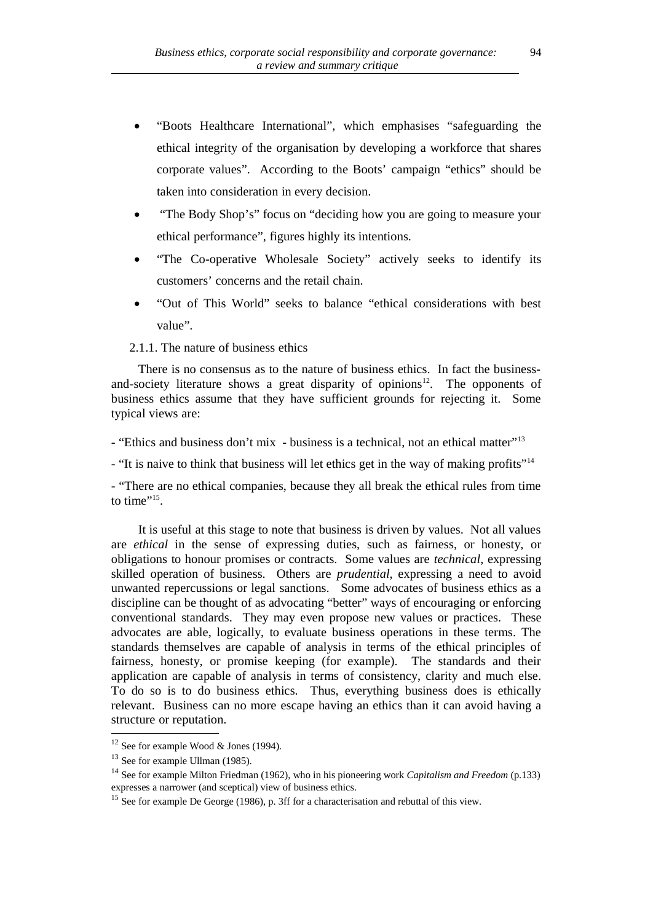- "Boots Healthcare International", which emphasises "safeguarding the ethical integrity of the organisation by developing a workforce that shares corporate values". According to the Boots' campaign "ethics" should be taken into consideration in every decision.
- "The Body Shop's" focus on "deciding how you are going to measure your ethical performance", figures highly its intentions.
- "The Co-operative Wholesale Society" actively seeks to identify its customers' concerns and the retail chain.
- "Out of This World" seeks to balance "ethical considerations with best value".

2.1.1. The nature of business ethics

There is no consensus as to the nature of business ethics. In fact the businessand-society literature shows a great disparity of opinions $12$ . The opponents of business ethics assume that they have sufficient grounds for rejecting it. Some typical views are:

- "Ethics and business don't mix - business is a technical, not an ethical matter"<sup>13</sup>

- "It is naive to think that business will let ethics get in the way of making profits"<sup>14</sup>

- "There are no ethical companies, because they all break the ethical rules from time to time"<sup>15</sup>.

It is useful at this stage to note that business is driven by values. Not all values are *ethical* in the sense of expressing duties, such as fairness, or honesty, or obligations to honour promises or contracts. Some values are *technical*, expressing skilled operation of business. Others are *prudential*, expressing a need to avoid unwanted repercussions or legal sanctions. Some advocates of business ethics as a discipline can be thought of as advocating "better" ways of encouraging or enforcing conventional standards. They may even propose new values or practices. These advocates are able, logically, to evaluate business operations in these terms. The standards themselves are capable of analysis in terms of the ethical principles of fairness, honesty, or promise keeping (for example). The standards and their application are capable of analysis in terms of consistency, clarity and much else. To do so is to do business ethics. Thus, everything business does is ethically relevant. Business can no more escape having an ethics than it can avoid having a structure or reputation.

 $12$  See for example Wood & Jones (1994).

<sup>&</sup>lt;sup>13</sup> See for example Ullman (1985).

<sup>14</sup> See for example Milton Friedman (1962), who in his pioneering work *Capitalism and Freedom* (p.133) expresses a narrower (and sceptical) view of business ethics.

<sup>&</sup>lt;sup>15</sup> See for example De George (1986), p. 3ff for a characterisation and rebuttal of this view.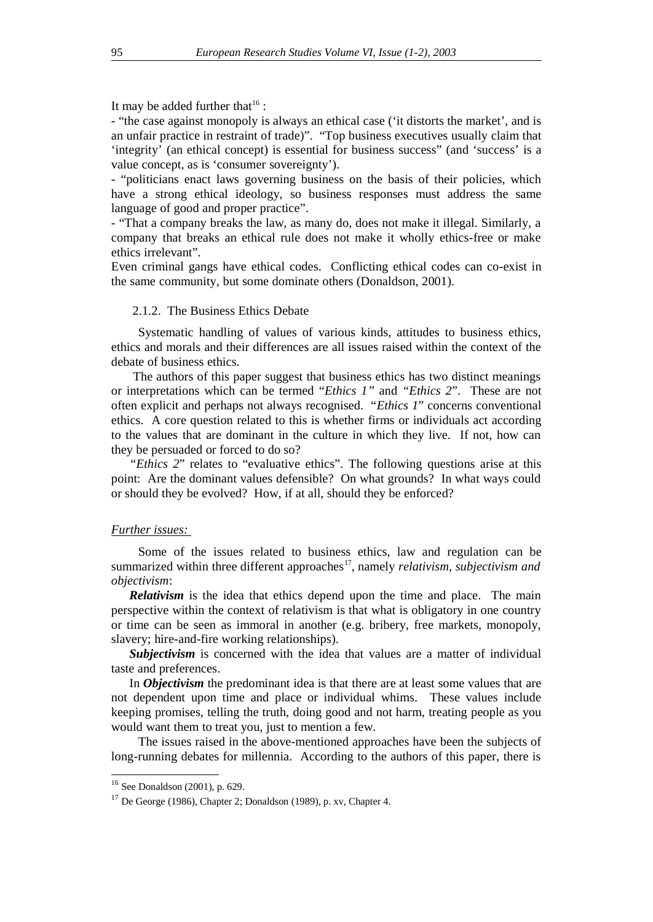It may be added further that  $16$ :

- "the case against monopoly is always an ethical case ('it distorts the market', and is an unfair practice in restraint of trade)". "Top business executives usually claim that 'integrity' (an ethical concept) is essential for business success" (and 'success' is a value concept, as is 'consumer sovereignty').

- "politicians enact laws governing business on the basis of their policies, which have a strong ethical ideology, so business responses must address the same language of good and proper practice".

- "That a company breaks the law, as many do, does not make it illegal. Similarly, a company that breaks an ethical rule does not make it wholly ethics-free or make ethics irrelevant".

Even criminal gangs have ethical codes. Conflicting ethical codes can co-exist in the same community, but some dominate others (Donaldson, 2001).

## 2.1.2. The Business Ethics Debate

Systematic handling of values of various kinds, attitudes to business ethics, ethics and morals and their differences are all issues raised within the context of the debate of business ethics.

 The authors of this paper suggest that business ethics has two distinct meanings or interpretations which can be termed "*Ethics 1"* and *"Ethics 2*". These are not often explicit and perhaps not always recognised. "*Ethics 1*" concerns conventional ethics. A core question related to this is whether firms or individuals act according to the values that are dominant in the culture in which they live. If not, how can they be persuaded or forced to do so?

*"Ethics 2*" relates to "evaluative ethics". The following questions arise at this point: Are the dominant values defensible? On what grounds? In what ways could or should they be evolved? How, if at all, should they be enforced?

#### *Further issues:*

Some of the issues related to business ethics, law and regulation can be summarized within three different approaches<sup>17</sup>, namely *relativism, subjectivism and objectivism*:

*Relativism* is the idea that ethics depend upon the time and place. The main perspective within the context of relativism is that what is obligatory in one country or time can be seen as immoral in another (e.g. bribery, free markets, monopoly, slavery; hire-and-fire working relationships).

*Subjectivism* is concerned with the idea that values are a matter of individual taste and preferences.

In *Objectivism* the predominant idea is that there are at least some values that are not dependent upon time and place or individual whims. These values include keeping promises, telling the truth, doing good and not harm, treating people as you would want them to treat you, just to mention a few.

The issues raised in the above-mentioned approaches have been the subjects of long-running debates for millennia. According to the authors of this paper, there is

<sup>16</sup> See Donaldson (2001), p. 629.

<sup>17</sup> De George (1986), Chapter 2; Donaldson (1989), p. xv, Chapter 4.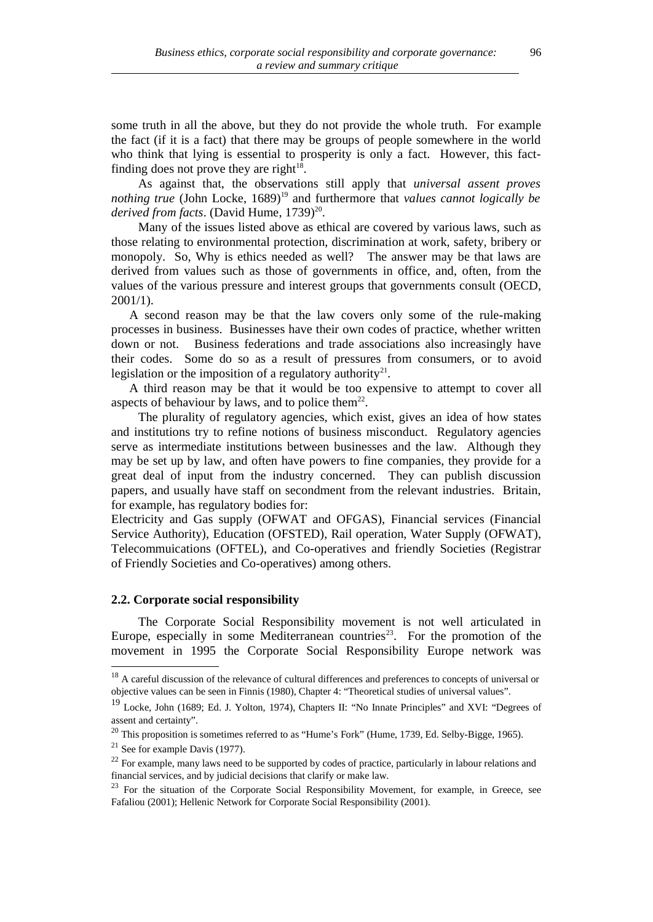some truth in all the above, but they do not provide the whole truth. For example the fact (if it is a fact) that there may be groups of people somewhere in the world who think that lying is essential to prosperity is only a fact. However, this factfinding does not prove they are right $18$ .

As against that, the observations still apply that *universal assent proves nothing true* (John Locke, 1689)<sup>19</sup> and furthermore that *values cannot logically be* derived from facts. (David Hume, 1739)<sup>20</sup>.

Many of the issues listed above as ethical are covered by various laws, such as those relating to environmental protection, discrimination at work, safety, bribery or monopoly. So, Why is ethics needed as well? The answer may be that laws are derived from values such as those of governments in office, and, often, from the values of the various pressure and interest groups that governments consult (OECD, 2001/1).

A second reason may be that the law covers only some of the rule-making processes in business. Businesses have their own codes of practice, whether written down or not. Business federations and trade associations also increasingly have their codes. Some do so as a result of pressures from consumers, or to avoid legislation or the imposition of a regulatory authority<sup>21</sup>.

A third reason may be that it would be too expensive to attempt to cover all aspects of behaviour by laws, and to police them $^{22}$ .

The plurality of regulatory agencies, which exist, gives an idea of how states and institutions try to refine notions of business misconduct. Regulatory agencies serve as intermediate institutions between businesses and the law. Although they may be set up by law, and often have powers to fine companies, they provide for a great deal of input from the industry concerned. They can publish discussion papers, and usually have staff on secondment from the relevant industries. Britain, for example, has regulatory bodies for:

Electricity and Gas supply (OFWAT and OFGAS), Financial services (Financial Service Authority), Education (OFSTED), Rail operation, Water Supply (OFWAT), Telecommuications (OFTEL), and Co-operatives and friendly Societies (Registrar of Friendly Societies and Co-operatives) among others.

## **2.2. Corporate social responsibility**

The Corporate Social Responsibility movement is not well articulated in Europe, especially in some Mediterranean countries<sup>23</sup>. For the promotion of the movement in 1995 the Corporate Social Responsibility Europe network was

<sup>&</sup>lt;sup>18</sup> A careful discussion of the relevance of cultural differences and preferences to concepts of universal or objective values can be seen in Finnis (1980), Chapter 4: "Theoretical studies of universal values".

<sup>&</sup>lt;sup>19</sup> Locke, John (1689; Ed. J. Yolton, 1974), Chapters II: "No Innate Principles" and XVI: "Degrees of assent and certainty".

 $^{20}$  This proposition is sometimes referred to as "Hume's Fork" (Hume, 1739, Ed. Selby-Bigge, 1965).

 $21$  See for example Davis (1977).

 $22$  For example, many laws need to be supported by codes of practice, particularly in labour relations and financial services, and by judicial decisions that clarify or make law.

<sup>&</sup>lt;sup>23</sup> For the situation of the Corporate Social Responsibility Movement, for example, in Greece, see Fafaliou (2001); Hellenic Network for Corporate Social Responsibility (2001).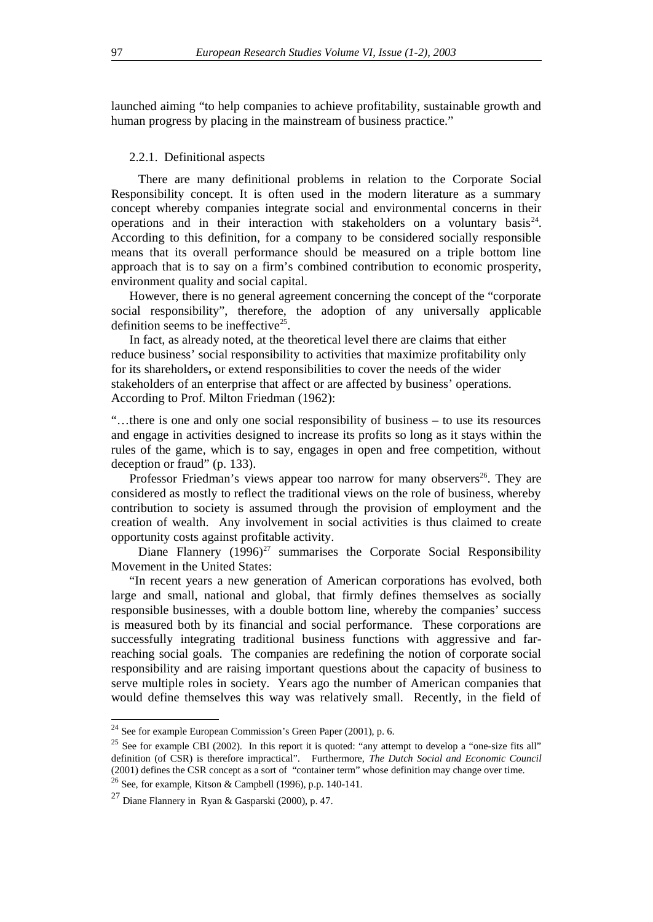launched aiming "to help companies to achieve profitability, sustainable growth and human progress by placing in the mainstream of business practice."

#### 2.2.1. Definitional aspects

There are many definitional problems in relation to the Corporate Social Responsibility concept. It is often used in the modern literature as a summary concept whereby companies integrate social and environmental concerns in their operations and in their interaction with stakeholders on a voluntary basis<sup>24</sup>. According to this definition, for a company to be considered socially responsible means that its overall performance should be measured on a triple bottom line approach that is to say on a firm's combined contribution to economic prosperity, environment quality and social capital.

However, there is no general agreement concerning the concept of the "corporate social responsibility", therefore, the adoption of any universally applicable definition seems to be ineffective<sup>25</sup>.

In fact, as already noted, at the theoretical level there are claims that either reduce business' social responsibility to activities that maximize profitability only for its shareholders**,** or extend responsibilities to cover the needs of the wider stakeholders of an enterprise that affect or are affected by business' operations. According to Prof. Milton Friedman (1962):

"…there is one and only one social responsibility of business – to use its resources and engage in activities designed to increase its profits so long as it stays within the rules of the game, which is to say, engages in open and free competition, without deception or fraud" (p. 133).

Professor Friedman's views appear too narrow for many observers<sup>26</sup>. They are considered as mostly to reflect the traditional views on the role of business, whereby contribution to society is assumed through the provision of employment and the creation of wealth. Any involvement in social activities is thus claimed to create opportunity costs against profitable activity.

Diane Flannery  $(1996)^{27}$  summarises the Corporate Social Responsibility Movement in the United States:

"In recent years a new generation of American corporations has evolved, both large and small, national and global, that firmly defines themselves as socially responsible businesses, with a double bottom line, whereby the companies' success is measured both by its financial and social performance. These corporations are successfully integrating traditional business functions with aggressive and farreaching social goals. The companies are redefining the notion of corporate social responsibility and are raising important questions about the capacity of business to serve multiple roles in society. Years ago the number of American companies that would define themselves this way was relatively small. Recently, in the field of

<sup>24</sup> See for example European Commission's Green Paper (2001), p. 6.

<sup>&</sup>lt;sup>25</sup> See for example CBI (2002). In this report it is quoted: "any attempt to develop a "one-size fits all" definition (of CSR) is therefore impractical". Furthermore, *The Dutch Social and Economic Council* (2001) defines the CSR concept as a sort of "container term" whose definition may change over time.  $26$  See, for example, Kitson & Campbell (1996), p.p. 140-141.

 $27$  Diane Flannery in Ryan & Gasparski (2000), p. 47.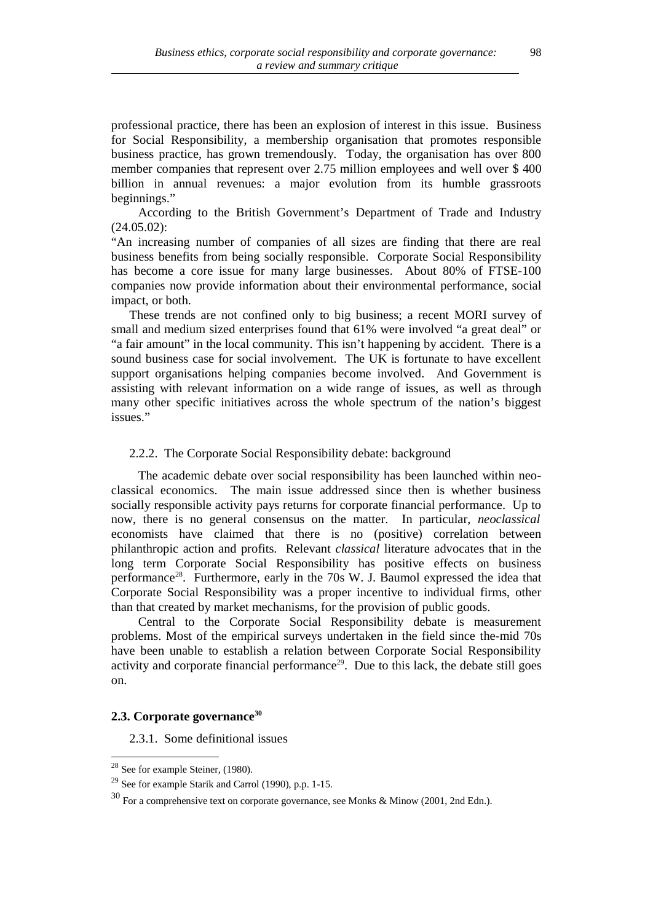professional practice, there has been an explosion of interest in this issue. Business for Social Responsibility, a membership organisation that promotes responsible business practice, has grown tremendously. Today, the organisation has over 800 member companies that represent over 2.75 million employees and well over \$ 400 billion in annual revenues: a major evolution from its humble grassroots beginnings."

According to the British Government's Department of Trade and Industry (24.05.02):

"An increasing number of companies of all sizes are finding that there are real business benefits from being socially responsible. Corporate Social Responsibility has become a core issue for many large businesses. About 80% of FTSE-100 companies now provide information about their environmental performance, social impact, or both.

These trends are not confined only to big business; a recent MORI survey of small and medium sized enterprises found that 61% were involved "a great deal" or "a fair amount" in the local community. This isn't happening by accident. There is a sound business case for social involvement. The UK is fortunate to have excellent support organisations helping companies become involved. And Government is assisting with relevant information on a wide range of issues, as well as through many other specific initiatives across the whole spectrum of the nation's biggest issues."

## 2.2.2. The Corporate Social Responsibility debate: background

The academic debate over social responsibility has been launched within neoclassical economics. The main issue addressed since then is whether business socially responsible activity pays returns for corporate financial performance. Up to now, there is no general consensus on the matter. In particular, *neoclassical* economists have claimed that there is no (positive) correlation between philanthropic action and profits. Relevant *classical* literature advocates that in the long term Corporate Social Responsibility has positive effects on business performance<sup>28</sup>. Furthermore, early in the 70s W. J. Baumol expressed the idea that Corporate Social Responsibility was a proper incentive to individual firms, other than that created by market mechanisms, for the provision of public goods.

Central to the Corporate Social Responsibility debate is measurement problems. Most of the empirical surveys undertaken in the field since the-mid 70s have been unable to establish a relation between Corporate Social Responsibility activity and corporate financial performance<sup>29</sup>. Due to this lack, the debate still goes on.

## **2.3. Corporate governance<sup>30</sup>**

2.3.1. Some definitional issues

<sup>&</sup>lt;sup>28</sup> See for example Steiner, (1980).

<sup>29</sup> See for example Starik and Carrol (1990), p.p. 1-15.

<sup>30</sup> For a comprehensive text on corporate governance, see Monks & Minow (2001, 2nd Edn.).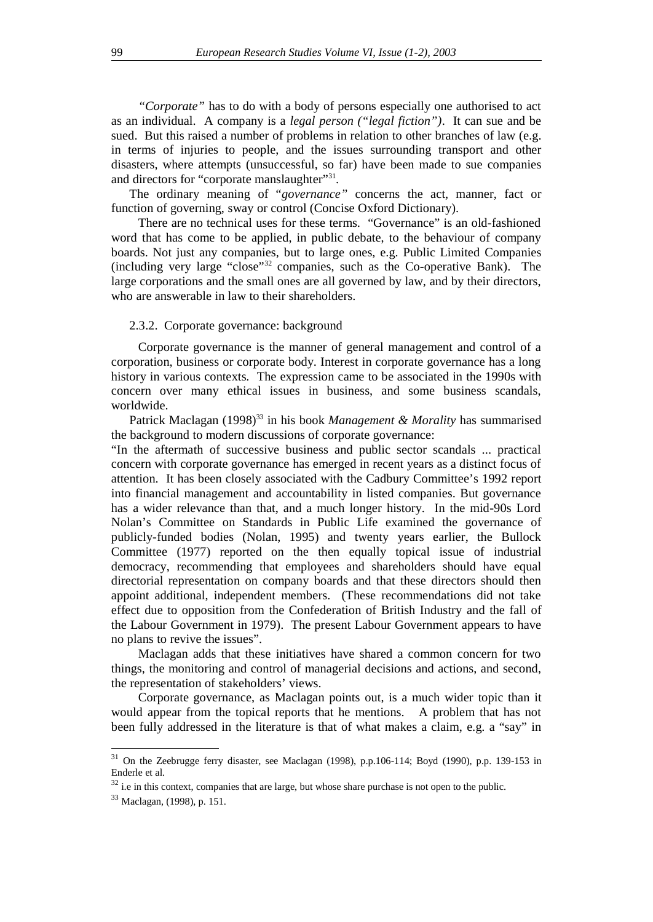*"Corporate"* has to do with a body of persons especially one authorised to act as an individual. A company is a *legal person ("legal fiction")*. It can sue and be sued. But this raised a number of problems in relation to other branches of law (e.g. in terms of injuries to people, and the issues surrounding transport and other disasters, where attempts (unsuccessful, so far) have been made to sue companies and directors for "corporate manslaughter"<sup>31</sup>.

The ordinary meaning of "*governance"* concerns the act, manner, fact or function of governing, sway or control (Concise Oxford Dictionary).

There are no technical uses for these terms. "Governance" is an old-fashioned word that has come to be applied, in public debate, to the behaviour of company boards. Not just any companies, but to large ones, e.g. Public Limited Companies (including very large "close"<sup>32</sup> companies, such as the Co-operative Bank). The large corporations and the small ones are all governed by law, and by their directors, who are answerable in law to their shareholders.

#### 2.3.2. Corporate governance: background

Corporate governance is the manner of general management and control of a corporation, business or corporate body. Interest in corporate governance has a long history in various contexts. The expression came to be associated in the 1990s with concern over many ethical issues in business, and some business scandals, worldwide.

Patrick Maclagan (1998)<sup>33</sup> in his book *Management & Morality* has summarised the background to modern discussions of corporate governance:

"In the aftermath of successive business and public sector scandals ... practical concern with corporate governance has emerged in recent years as a distinct focus of attention. It has been closely associated with the Cadbury Committee's 1992 report into financial management and accountability in listed companies. But governance has a wider relevance than that, and a much longer history. In the mid-90s Lord Nolan's Committee on Standards in Public Life examined the governance of publicly-funded bodies (Nolan, 1995) and twenty years earlier, the Bullock Committee (1977) reported on the then equally topical issue of industrial democracy, recommending that employees and shareholders should have equal directorial representation on company boards and that these directors should then appoint additional, independent members. (These recommendations did not take effect due to opposition from the Confederation of British Industry and the fall of the Labour Government in 1979). The present Labour Government appears to have no plans to revive the issues".

Maclagan adds that these initiatives have shared a common concern for two things, the monitoring and control of managerial decisions and actions, and second, the representation of stakeholders' views.

Corporate governance, as Maclagan points out, is a much wider topic than it would appear from the topical reports that he mentions. A problem that has not been fully addressed in the literature is that of what makes a claim, e.g. a "say" in

<sup>31</sup> On the Zeebrugge ferry disaster, see Maclagan (1998), p.p.106-114; Boyd (1990), p.p. 139-153 in Enderle et al.

 $32$  i.e in this context, companies that are large, but whose share purchase is not open to the public.

<sup>33</sup> Maclagan, (1998), p. 151.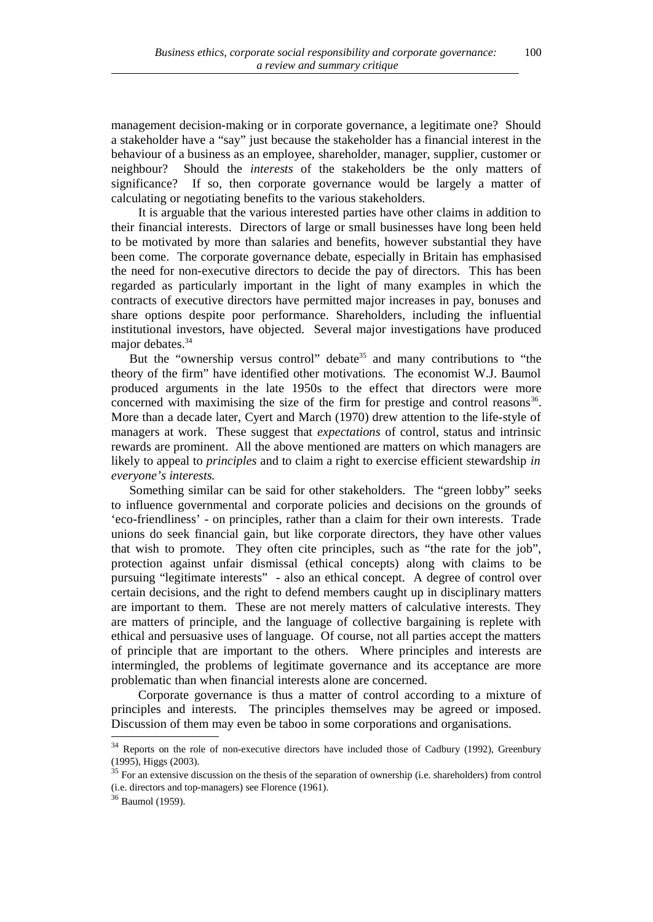management decision-making or in corporate governance, a legitimate one? Should a stakeholder have a "say" just because the stakeholder has a financial interest in the behaviour of a business as an employee, shareholder, manager, supplier, customer or neighbour? Should the *interests* of the stakeholders be the only matters of significance? If so, then corporate governance would be largely a matter of calculating or negotiating benefits to the various stakeholders.

It is arguable that the various interested parties have other claims in addition to their financial interests. Directors of large or small businesses have long been held to be motivated by more than salaries and benefits, however substantial they have been come. The corporate governance debate, especially in Britain has emphasised the need for non-executive directors to decide the pay of directors. This has been regarded as particularly important in the light of many examples in which the contracts of executive directors have permitted major increases in pay, bonuses and share options despite poor performance. Shareholders, including the influential institutional investors, have objected. Several major investigations have produced major debates.<sup>34</sup>

But the "ownership versus control" debate<sup>35</sup> and many contributions to "the theory of the firm" have identified other motivations. The economist W.J. Baumol produced arguments in the late 1950s to the effect that directors were more concerned with maximising the size of the firm for prestige and control reasons $36$ . More than a decade later, Cyert and March (1970) drew attention to the life-style of managers at work. These suggest that *expectations* of control, status and intrinsic rewards are prominent. All the above mentioned are matters on which managers are likely to appeal to *principles* and to claim a right to exercise efficient stewardship *in everyone's interests.* 

Something similar can be said for other stakeholders. The "green lobby" seeks to influence governmental and corporate policies and decisions on the grounds of 'eco-friendliness' - on principles, rather than a claim for their own interests. Trade unions do seek financial gain, but like corporate directors, they have other values that wish to promote. They often cite principles, such as "the rate for the job", protection against unfair dismissal (ethical concepts) along with claims to be pursuing "legitimate interests" - also an ethical concept. A degree of control over certain decisions, and the right to defend members caught up in disciplinary matters are important to them. These are not merely matters of calculative interests. They are matters of principle, and the language of collective bargaining is replete with ethical and persuasive uses of language. Of course, not all parties accept the matters of principle that are important to the others. Where principles and interests are intermingled, the problems of legitimate governance and its acceptance are more problematic than when financial interests alone are concerned.

Corporate governance is thus a matter of control according to a mixture of principles and interests. The principles themselves may be agreed or imposed. Discussion of them may even be taboo in some corporations and organisations.

<sup>&</sup>lt;sup>34</sup> Reports on the role of non-executive directors have included those of Cadbury (1992), Greenbury (1995), Higgs (2003).

<sup>&</sup>lt;sup>35</sup> For an extensive discussion on the thesis of the separation of ownership (i.e. shareholders) from control (i.e. directors and top-managers) see Florence (1961).

<sup>36</sup> Baumol (1959).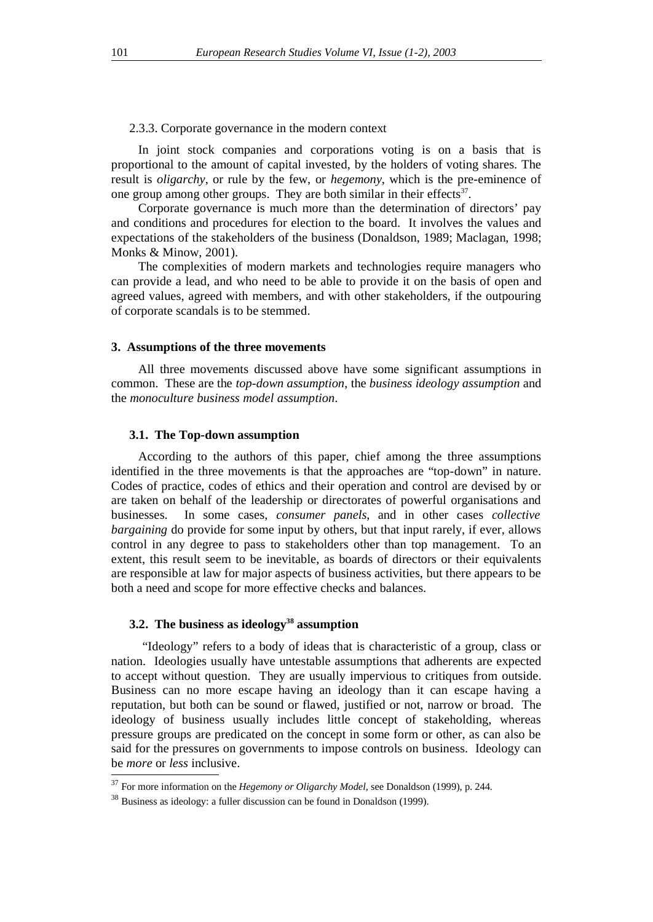#### 2.3.3. Corporate governance in the modern context

In joint stock companies and corporations voting is on a basis that is proportional to the amount of capital invested, by the holders of voting shares. The result is *oligarchy*, or rule by the few, or *hegemony*, which is the pre-eminence of one group among other groups. They are both similar in their effects $37$ .

Corporate governance is much more than the determination of directors' pay and conditions and procedures for election to the board. It involves the values and expectations of the stakeholders of the business (Donaldson, 1989; Maclagan, 1998; Monks & Minow, 2001).

The complexities of modern markets and technologies require managers who can provide a lead, and who need to be able to provide it on the basis of open and agreed values, agreed with members, and with other stakeholders, if the outpouring of corporate scandals is to be stemmed.

#### **3. Assumptions of the three movements**

All three movements discussed above have some significant assumptions in common. These are the *top-down assumption*, the *business ideology assumption* and the *monoculture business model assumption*.

#### **3.1. The Top-down assumption**

According to the authors of this paper, chief among the three assumptions identified in the three movements is that the approaches are "top-down" in nature. Codes of practice, codes of ethics and their operation and control are devised by or are taken on behalf of the leadership or directorates of powerful organisations and businesses. In some cases, *consumer panels*, and in other cases *collective bargaining* do provide for some input by others, but that input rarely, if ever, allows control in any degree to pass to stakeholders other than top management. To an extent, this result seem to be inevitable, as boards of directors or their equivalents are responsible at law for major aspects of business activities, but there appears to be both a need and scope for more effective checks and balances.

## **3.2. The business as ideology<sup>38</sup> assumption**

 "Ideology" refers to a body of ideas that is characteristic of a group, class or nation. Ideologies usually have untestable assumptions that adherents are expected to accept without question. They are usually impervious to critiques from outside. Business can no more escape having an ideology than it can escape having a reputation, but both can be sound or flawed, justified or not, narrow or broad. The ideology of business usually includes little concept of stakeholding, whereas pressure groups are predicated on the concept in some form or other, as can also be said for the pressures on governments to impose controls on business. Ideology can be *more* or *less* inclusive.

<sup>37</sup> For more information on the *Hegemony or Oligarchy Model,* see Donaldson (1999), p. 244*.*

<sup>38</sup> Business as ideology: a fuller discussion can be found in Donaldson (1999).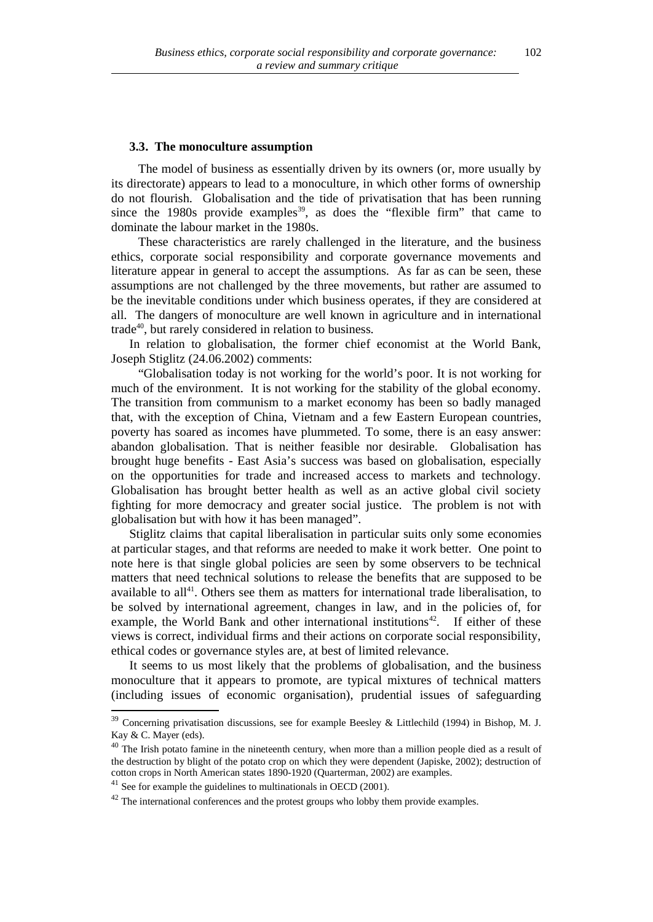#### **3.3. The monoculture assumption**

The model of business as essentially driven by its owners (or, more usually by its directorate) appears to lead to a monoculture, in which other forms of ownership do not flourish. Globalisation and the tide of privatisation that has been running since the 1980s provide examples<sup>39</sup>, as does the "flexible firm" that came to dominate the labour market in the 1980s.

These characteristics are rarely challenged in the literature, and the business ethics, corporate social responsibility and corporate governance movements and literature appear in general to accept the assumptions. As far as can be seen, these assumptions are not challenged by the three movements, but rather are assumed to be the inevitable conditions under which business operates, if they are considered at all. The dangers of monoculture are well known in agriculture and in international trade<sup>40</sup>, but rarely considered in relation to business.

In relation to globalisation, the former chief economist at the World Bank, Joseph Stiglitz (24.06.2002) comments:

"Globalisation today is not working for the world's poor. It is not working for much of the environment. It is not working for the stability of the global economy. The transition from communism to a market economy has been so badly managed that, with the exception of China, Vietnam and a few Eastern European countries, poverty has soared as incomes have plummeted. To some, there is an easy answer: abandon globalisation. That is neither feasible nor desirable. Globalisation has brought huge benefits - East Asia's success was based on globalisation, especially on the opportunities for trade and increased access to markets and technology. Globalisation has brought better health as well as an active global civil society fighting for more democracy and greater social justice. The problem is not with globalisation but with how it has been managed".

Stiglitz claims that capital liberalisation in particular suits only some economies at particular stages, and that reforms are needed to make it work better. One point to note here is that single global policies are seen by some observers to be technical matters that need technical solutions to release the benefits that are supposed to be available to all<sup>41</sup>. Others see them as matters for international trade liberalisation, to be solved by international agreement, changes in law, and in the policies of, for example, the World Bank and other international institutions<sup>42</sup>. If either of these views is correct, individual firms and their actions on corporate social responsibility, ethical codes or governance styles are, at best of limited relevance.

It seems to us most likely that the problems of globalisation, and the business monoculture that it appears to promote, are typical mixtures of technical matters (including issues of economic organisation), prudential issues of safeguarding

<sup>39</sup> Concerning privatisation discussions, see for example Beesley & Littlechild (1994) in Bishop, M. J. Kay & C. Mayer (eds).

 $40$  The Irish potato famine in the nineteenth century, when more than a million people died as a result of the destruction by blight of the potato crop on which they were dependent (Japiske, 2002); destruction of cotton crops in North American states 1890-1920 (Quarterman, 2002) are examples.

 $41$  See for example the guidelines to multinationals in OECD (2001).

 $42$  The international conferences and the protest groups who lobby them provide examples.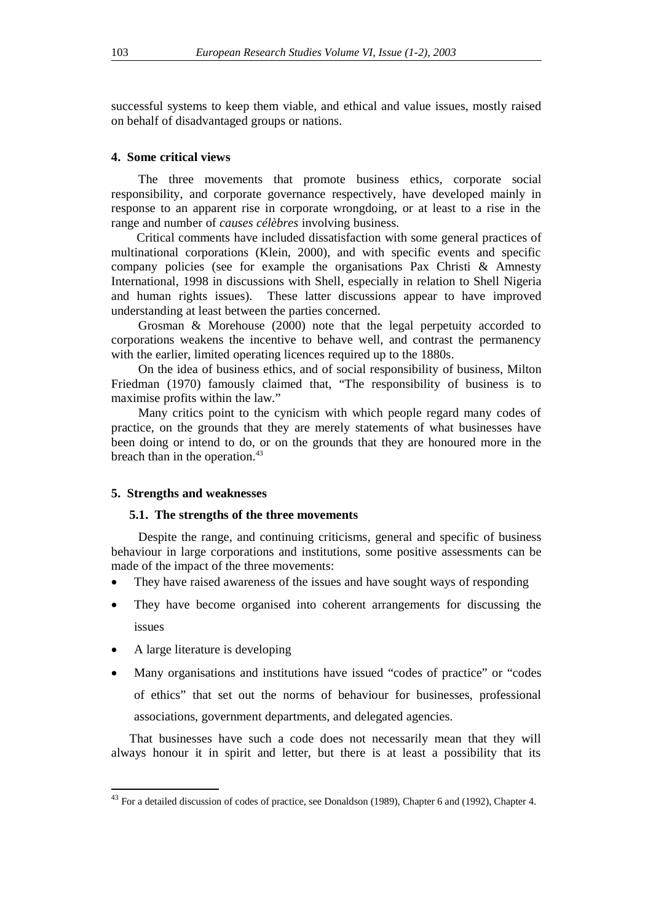successful systems to keep them viable, and ethical and value issues, mostly raised on behalf of disadvantaged groups or nations.

## **4. Some critical views**

The three movements that promote business ethics, corporate social responsibility, and corporate governance respectively, have developed mainly in response to an apparent rise in corporate wrongdoing, or at least to a rise in the range and number of *causes célèbres* involving business.

 Critical comments have included dissatisfaction with some general practices of multinational corporations (Klein, 2000), and with specific events and specific company policies (see for example the organisations Pax Christi & Amnesty International, 1998 in discussions with Shell, especially in relation to Shell Nigeria and human rights issues). These latter discussions appear to have improved understanding at least between the parties concerned.

Grosman & Morehouse (2000) note that the legal perpetuity accorded to corporations weakens the incentive to behave well, and contrast the permanency with the earlier, limited operating licences required up to the 1880s.

On the idea of business ethics, and of social responsibility of business, Milton Friedman (1970) famously claimed that, "The responsibility of business is to maximise profits within the law."

Many critics point to the cynicism with which people regard many codes of practice, on the grounds that they are merely statements of what businesses have been doing or intend to do, or on the grounds that they are honoured more in the breach than in the operation.<sup>43</sup>

#### **5. Strengths and weaknesses**

#### **5.1. The strengths of the three movements**

Despite the range, and continuing criticisms, general and specific of business behaviour in large corporations and institutions, some positive assessments can be made of the impact of the three movements:

- They have raised awareness of the issues and have sought ways of responding
- They have become organised into coherent arrangements for discussing the issues
- A large literature is developing
- Many organisations and institutions have issued "codes of practice" or "codes of ethics" that set out the norms of behaviour for businesses, professional associations, government departments, and delegated agencies.

That businesses have such a code does not necessarily mean that they will always honour it in spirit and letter, but there is at least a possibility that its

<sup>&</sup>lt;sup>43</sup> For a detailed discussion of codes of practice, see Donaldson (1989), Chapter 6 and (1992), Chapter 4.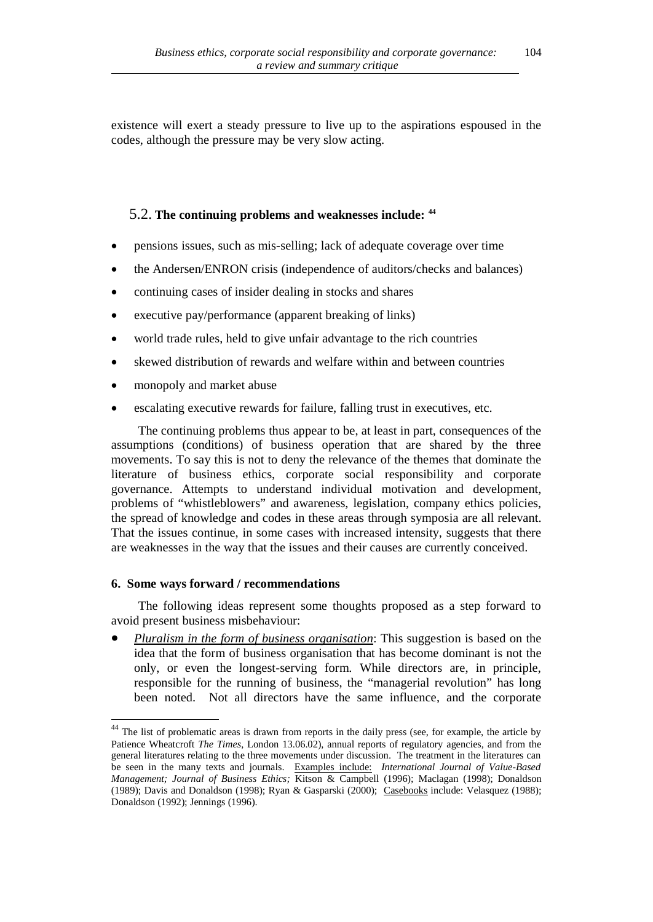existence will exert a steady pressure to live up to the aspirations espoused in the codes, although the pressure may be very slow acting.

## 5.2. **The continuing problems and weaknesses include: <sup>44</sup>**

- pensions issues, such as mis-selling; lack of adequate coverage over time
- the Andersen/ENRON crisis (independence of auditors/checks and balances)
- continuing cases of insider dealing in stocks and shares
- executive pay/performance (apparent breaking of links)
- world trade rules, held to give unfair advantage to the rich countries
- skewed distribution of rewards and welfare within and between countries
- monopoly and market abuse
- escalating executive rewards for failure, falling trust in executives, etc.

The continuing problems thus appear to be, at least in part, consequences of the assumptions (conditions) of business operation that are shared by the three movements. To say this is not to deny the relevance of the themes that dominate the literature of business ethics, corporate social responsibility and corporate governance. Attempts to understand individual motivation and development, problems of "whistleblowers" and awareness, legislation, company ethics policies, the spread of knowledge and codes in these areas through symposia are all relevant. That the issues continue, in some cases with increased intensity, suggests that there are weaknesses in the way that the issues and their causes are currently conceived.

## **6. Some ways forward / recommendations**

The following ideas represent some thoughts proposed as a step forward to avoid present business misbehaviour:

• *Pluralism in the form of business organisation*: This suggestion is based on the idea that the form of business organisation that has become dominant is not the only, or even the longest-serving form. While directors are, in principle, responsible for the running of business, the "managerial revolution" has long been noted. Not all directors have the same influence, and the corporate

<sup>&</sup>lt;sup>44</sup> The list of problematic areas is drawn from reports in the daily press (see, for example, the article by Patience Wheatcroft *The Times*, London 13.06.02), annual reports of regulatory agencies, and from the general literatures relating to the three movements under discussion. The treatment in the literatures can be seen in the many texts and journals. Examples include: *International Journal of Value-Based Management; Journal of Business Ethics;* Kitson & Campbell (1996); Maclagan (1998); Donaldson (1989); Davis and Donaldson (1998); Ryan & Gasparski (2000); Casebooks include: Velasquez (1988); Donaldson (1992); Jennings (1996).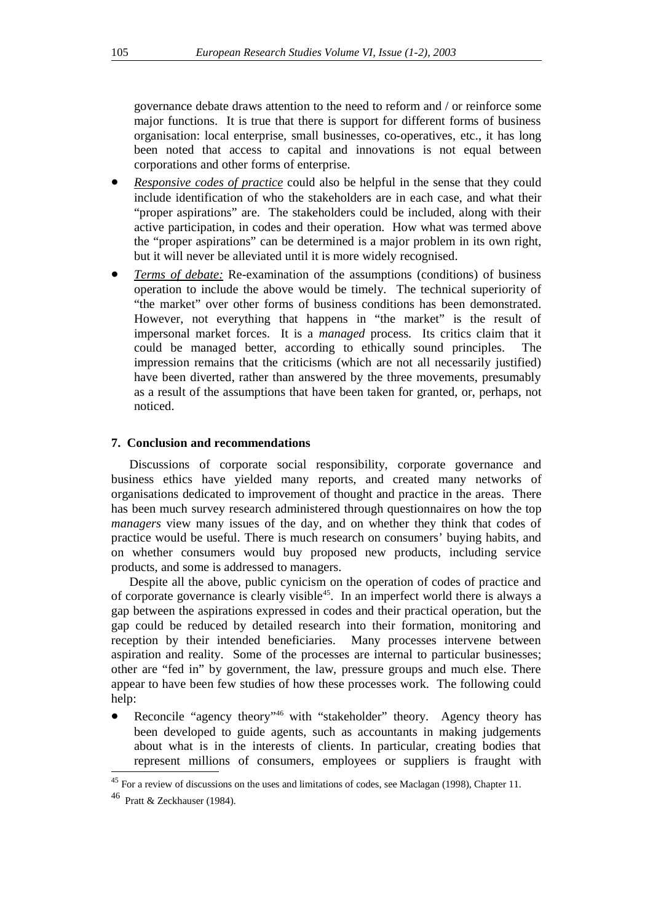governance debate draws attention to the need to reform and / or reinforce some major functions. It is true that there is support for different forms of business organisation: local enterprise, small businesses, co-operatives, etc., it has long been noted that access to capital and innovations is not equal between corporations and other forms of enterprise.

- *Responsive codes of practice* could also be helpful in the sense that they could include identification of who the stakeholders are in each case, and what their "proper aspirations" are. The stakeholders could be included, along with their active participation, in codes and their operation. How what was termed above the "proper aspirations" can be determined is a major problem in its own right, but it will never be alleviated until it is more widely recognised.
- *Terms of debate:* Re-examination of the assumptions (conditions) of business operation to include the above would be timely. The technical superiority of "the market" over other forms of business conditions has been demonstrated. However, not everything that happens in "the market" is the result of impersonal market forces. It is a *managed* process. Its critics claim that it could be managed better, according to ethically sound principles. The impression remains that the criticisms (which are not all necessarily justified) have been diverted, rather than answered by the three movements, presumably as a result of the assumptions that have been taken for granted, or, perhaps, not noticed.

## **7. Conclusion and recommendations**

Discussions of corporate social responsibility, corporate governance and business ethics have yielded many reports, and created many networks of organisations dedicated to improvement of thought and practice in the areas. There has been much survey research administered through questionnaires on how the top *managers* view many issues of the day, and on whether they think that codes of practice would be useful. There is much research on consumers' buying habits, and on whether consumers would buy proposed new products, including service products, and some is addressed to managers.

Despite all the above, public cynicism on the operation of codes of practice and of corporate governance is clearly visible<sup>45</sup>. In an imperfect world there is always a gap between the aspirations expressed in codes and their practical operation, but the gap could be reduced by detailed research into their formation, monitoring and reception by their intended beneficiaries. Many processes intervene between aspiration and reality. Some of the processes are internal to particular businesses; other are "fed in" by government, the law, pressure groups and much else. There appear to have been few studies of how these processes work. The following could help:

Reconcile "agency theory"<sup>46</sup> with "stakeholder" theory. Agency theory has been developed to guide agents, such as accountants in making judgements about what is in the interests of clients. In particular, creating bodies that represent millions of consumers, employees or suppliers is fraught with

<sup>&</sup>lt;sup>45</sup> For a review of discussions on the uses and limitations of codes, see Maclagan (1998), Chapter 11.

<sup>46</sup> Pratt & Zeckhauser (1984).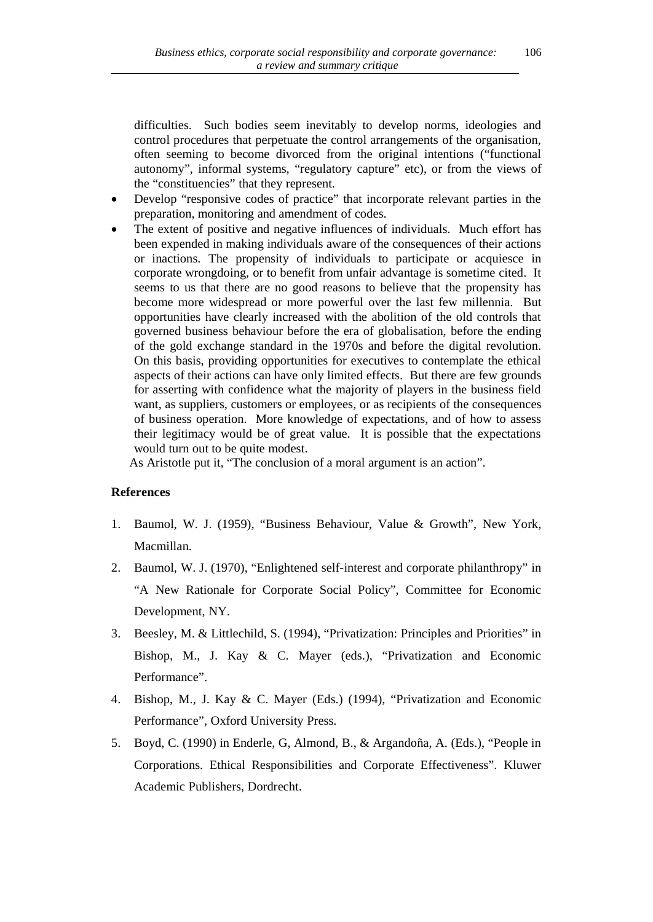difficulties. Such bodies seem inevitably to develop norms, ideologies and control procedures that perpetuate the control arrangements of the organisation, often seeming to become divorced from the original intentions ("functional autonomy", informal systems, "regulatory capture" etc), or from the views of the "constituencies" that they represent.

- Develop "responsive codes of practice" that incorporate relevant parties in the preparation, monitoring and amendment of codes.
- The extent of positive and negative influences of individuals. Much effort has been expended in making individuals aware of the consequences of their actions or inactions. The propensity of individuals to participate or acquiesce in corporate wrongdoing, or to benefit from unfair advantage is sometime cited. It seems to us that there are no good reasons to believe that the propensity has become more widespread or more powerful over the last few millennia. But opportunities have clearly increased with the abolition of the old controls that governed business behaviour before the era of globalisation, before the ending of the gold exchange standard in the 1970s and before the digital revolution. On this basis, providing opportunities for executives to contemplate the ethical aspects of their actions can have only limited effects. But there are few grounds for asserting with confidence what the majority of players in the business field want, as suppliers, customers or employees, or as recipients of the consequences of business operation. More knowledge of expectations, and of how to assess their legitimacy would be of great value. It is possible that the expectations would turn out to be quite modest.

As Aristotle put it, "The conclusion of a moral argument is an action".

## **References**

- 1. Baumol, W. J. (1959), "Business Behaviour, Value & Growth", New York, Macmillan.
- 2. Baumol, W. J. (1970), "Enlightened self-interest and corporate philanthropy" in "A New Rationale for Corporate Social Policy", Committee for Economic Development, NY.
- 3. Beesley, M. & Littlechild, S. (1994), "Privatization: Principles and Priorities" in Bishop, M., J. Kay & C. Mayer (eds.), "Privatization and Economic Performance".
- 4. Bishop, M., J. Kay & C. Mayer (Eds.) (1994), "Privatization and Economic Performance", Oxford University Press.
- 5. Boyd, C. (1990) in Enderle, G, Almond, B., & Argandoña, A. (Eds.), "People in Corporations. Ethical Responsibilities and Corporate Effectiveness". Kluwer Academic Publishers, Dordrecht.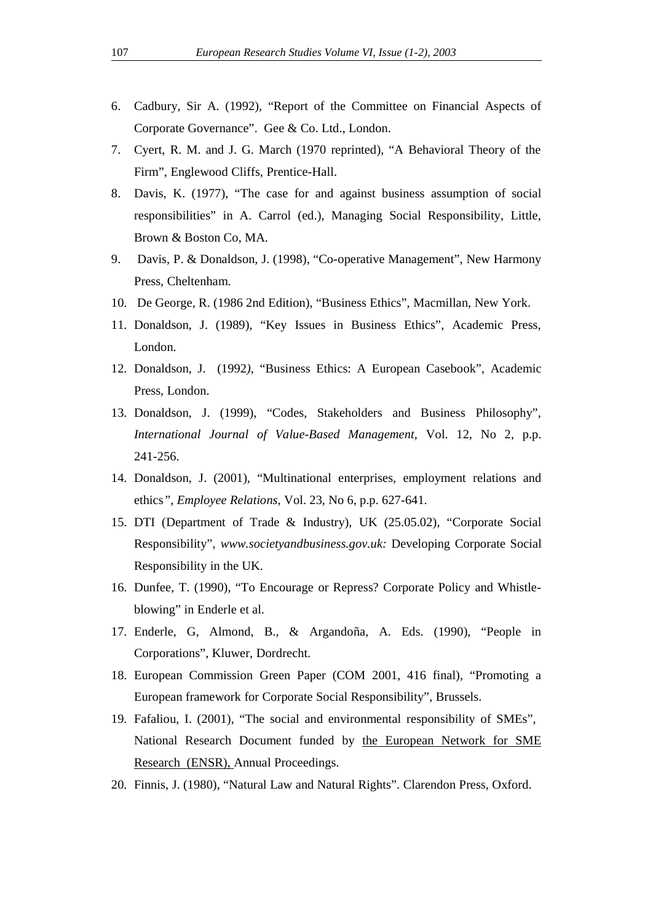- 6. Cadbury, Sir A. (1992), "Report of the Committee on Financial Aspects of Corporate Governance". Gee & Co. Ltd., London.
- 7. Cyert, R. M. and J. G. March (1970 reprinted), "A Behavioral Theory of the Firm", Englewood Cliffs, Prentice-Hall.
- 8. Davis, K. (1977), "The case for and against business assumption of social responsibilities" in A. Carrol (ed.), Managing Social Responsibility, Little, Brown & Boston Co, MA.
- 9. Davis, P. & Donaldson, J. (1998), "Co-operative Management", New Harmony Press, Cheltenham.
- 10. De George, R. (1986 2nd Edition), "Business Ethics", Macmillan, New York.
- 11. Donaldson, J. (1989), "Key Issues in Business Ethics", Academic Press, London.
- 12. Donaldson, J. (1992*),* "Business Ethics: A European Casebook", Academic Press, London.
- 13. Donaldson, J. (1999), "Codes, Stakeholders and Business Philosophy", *International Journal of Value-Based Management,* Vol. 12, No 2, p.p. 241-256.
- 14. Donaldson, J. (2001), "Multinational enterprises, employment relations and ethics*", Employee Relations,* Vol. 23, No 6, p.p. 627-641.
- 15. DTI (Department of Trade & Industry), UK (25.05.02), "Corporate Social Responsibility", *www.societyandbusiness.gov.uk:* Developing Corporate Social Responsibility in the UK.
- 16. Dunfee, T. (1990), "To Encourage or Repress? Corporate Policy and Whistleblowing" in Enderle et al.
- 17. Enderle, G, Almond, B., & Argandoña, A. Eds. (1990), "People in Corporations", Kluwer, Dordrecht.
- 18. European Commission Green Paper (COM 2001, 416 final), "Promoting a European framework for Corporate Social Responsibility", Brussels.
- 19. Fafaliou, I. (2001), "The social and environmental responsibility of SMEs", National Research Document funded by the European Network for SME Research (ENSR), Annual Proceedings.
- 20. Finnis, J. (1980), "Natural Law and Natural Rights". Clarendon Press, Oxford.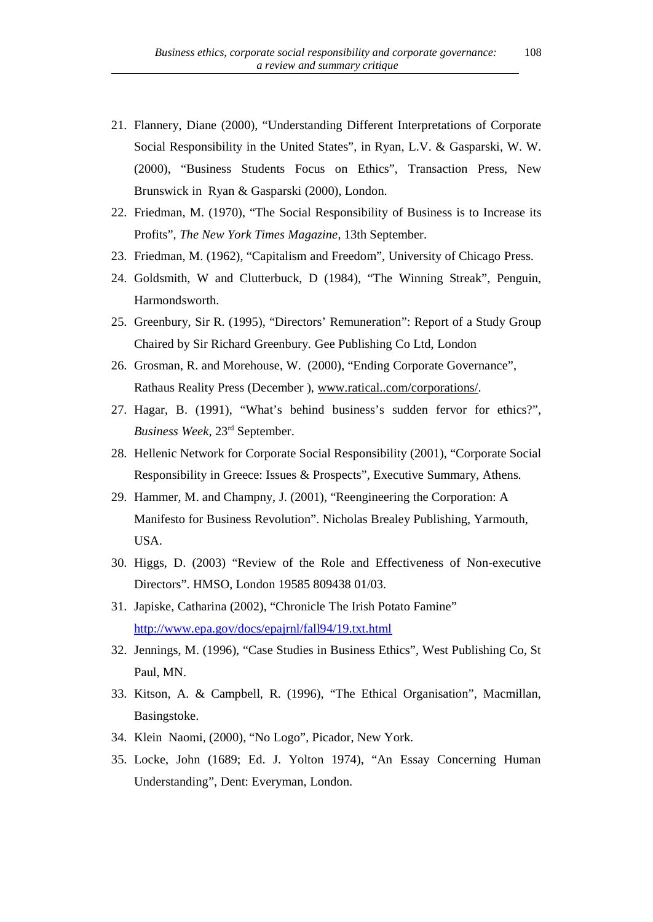- 21. Flannery, Diane (2000), "Understanding Different Interpretations of Corporate Social Responsibility in the United States", in Ryan, L.V. & Gasparski, W. W. (2000), "Business Students Focus on Ethics", Transaction Press, New Brunswick in Ryan & Gasparski (2000), London.
- 22. Friedman, M. (1970), "The Social Responsibility of Business is to Increase its Profits", *The New York Times Magazine*, 13th September.
- 23. Friedman, M. (1962), "Capitalism and Freedom", University of Chicago Press.
- 24. Goldsmith, W and Clutterbuck, D (1984), "The Winning Streak", Penguin, Harmondsworth.
- 25. Greenbury, Sir R. (1995), "Directors' Remuneration": Report of a Study Group Chaired by Sir Richard Greenbury. Gee Publishing Co Ltd, London
- 26. Grosman, R. and Morehouse, W. (2000), "Ending Corporate Governance", Rathaus Reality Press (December ), www.ratical..com/corporations/.
- 27. Hagar, B. (1991), "What's behind business's sudden fervor for ethics?", *Business Week,* 23rd September.
- 28. Hellenic Network for Corporate Social Responsibility (2001), "Corporate Social Responsibility in Greece: Issues & Prospects", Executive Summary, Athens.
- 29. Hammer, M. and Champny, J. (2001), "Reengineering the Corporation: A Manifesto for Business Revolution". Nicholas Brealey Publishing, Yarmouth, USA.
- 30. Higgs, D. (2003) "Review of the Role and Effectiveness of Non-executive Directors". HMSO, London 19585 809438 01/03.
- 31. Japiske, Catharina (2002), "Chronicle The Irish Potato Famine" http://www.epa.gov/docs/epajrnl/fall94/19.txt.html
- 32. Jennings, M. (1996), "Case Studies in Business Ethics", West Publishing Co, St Paul, MN.
- 33. Kitson, A. & Campbell, R. (1996), "The Ethical Organisation", Macmillan, Basingstoke.
- 34. Klein Naomi, (2000), "No Logo", Picador, New York.
- 35. Locke, John (1689; Ed. J. Yolton 1974), "An Essay Concerning Human Understanding", Dent: Everyman, London.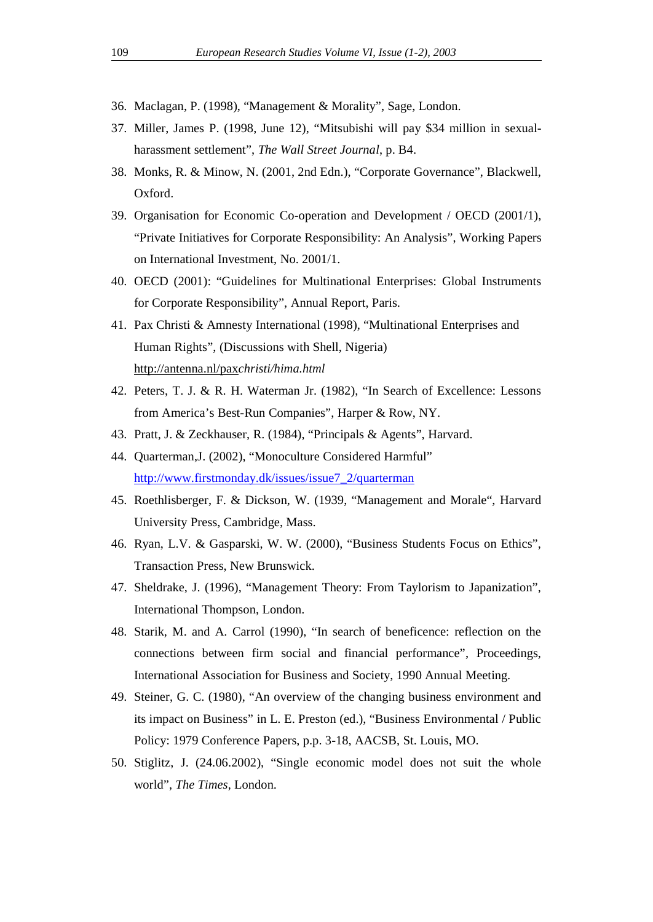- 36. Maclagan, P. (1998), "Management & Morality", Sage, London.
- 37. Miller, James P. (1998, June 12), "Mitsubishi will pay \$34 million in sexualharassment settlement", *The Wall Street Journal*, p. B4.
- 38. Monks, R. & Minow, N. (2001, 2nd Edn.), "Corporate Governance", Blackwell, Oxford.
- 39. Organisation for Economic Co-operation and Development / OECD (2001/1), "Private Initiatives for Corporate Responsibility: An Analysis", Working Papers on International Investment, No. 2001/1.
- 40. OECD (2001): "Guidelines for Multinational Enterprises: Global Instruments for Corporate Responsibility", Annual Report, Paris.
- 41. Pax Christi & Amnesty International (1998), "Multinational Enterprises and Human Rights", (Discussions with Shell, Nigeria) http://antenna.nl/pax*christi/hima.html*
- 42. Peters, T. J. & R. H. Waterman Jr. (1982), "In Search of Excellence: Lessons from America's Best-Run Companies", Harper & Row, NY.
- 43. Pratt, J. & Zeckhauser, R. (1984), "Principals & Agents", Harvard.
- 44. Quarterman,J. (2002), "Monoculture Considered Harmful" http://www.firstmonday.dk/issues/issue7\_2/quarterman
- 45. Roethlisberger, F. & Dickson, W. (1939, "Management and Morale", Harvard University Press, Cambridge, Mass.
- 46. Ryan, L.V. & Gasparski, W. W. (2000), "Business Students Focus on Ethics", Transaction Press, New Brunswick.
- 47. Sheldrake, J. (1996), "Management Theory: From Taylorism to Japanization", International Thompson, London.
- 48. Starik, M. and A. Carrol (1990), "In search of beneficence: reflection on the connections between firm social and financial performance", Proceedings, International Association for Business and Society, 1990 Annual Meeting.
- 49. Steiner, G. C. (1980), "An overview of the changing business environment and its impact on Business" in L. E. Preston (ed.), "Business Environmental / Public Policy: 1979 Conference Papers, p.p. 3-18, AACSB, St. Louis, MO.
- 50. Stiglitz, J. (24.06.2002), "Single economic model does not suit the whole world", *The Times*, London.